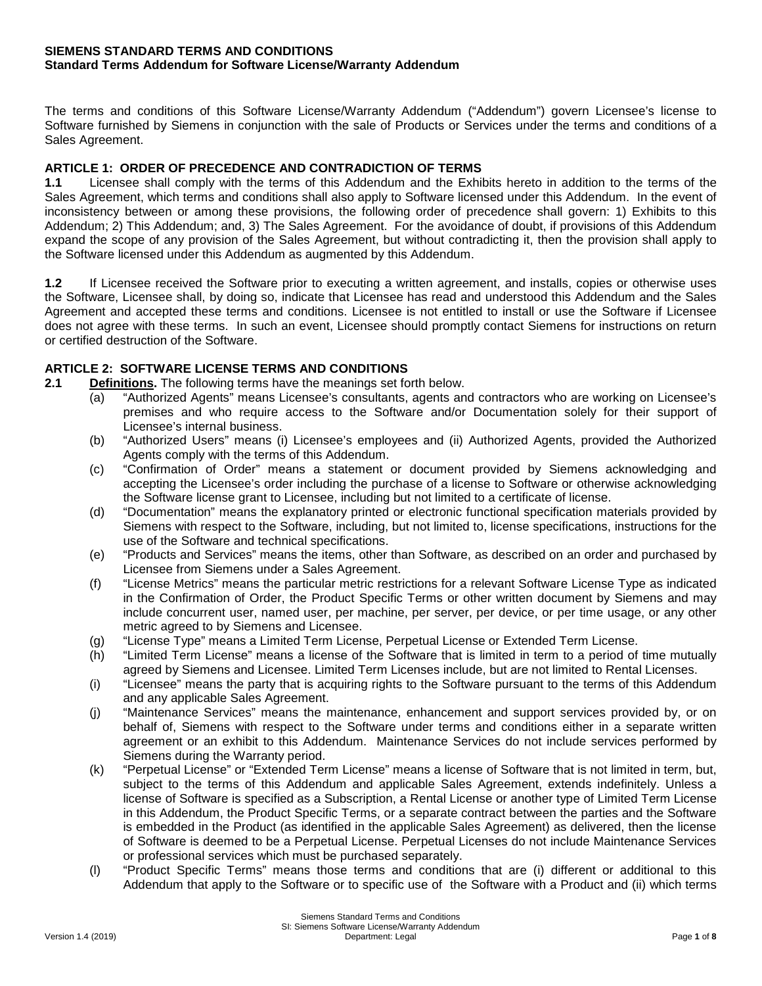#### **SIEMENS STANDARD TERMS AND CONDITIONS Standard Terms Addendum for Software License/Warranty Addendum**

The terms and conditions of this Software License/Warranty Addendum ("Addendum") govern Licensee's license to Software furnished by Siemens in conjunction with the sale of Products or Services under the terms and conditions of a Sales Agreement.

# **ARTICLE 1: ORDER OF PRECEDENCE AND CONTRADICTION OF TERMS**

**1.1** Licensee shall comply with the terms of this Addendum and the Exhibits hereto in addition to the terms of the Sales Agreement, which terms and conditions shall also apply to Software licensed under this Addendum. In the event of inconsistency between or among these provisions, the following order of precedence shall govern: 1) Exhibits to this Addendum; 2) This Addendum; and, 3) The Sales Agreement. For the avoidance of doubt, if provisions of this Addendum expand the scope of any provision of the Sales Agreement, but without contradicting it, then the provision shall apply to the Software licensed under this Addendum as augmented by this Addendum.

**1.2** If Licensee received the Software prior to executing a written agreement, and installs, copies or otherwise uses the Software, Licensee shall, by doing so, indicate that Licensee has read and understood this Addendum and the Sales Agreement and accepted these terms and conditions. Licensee is not entitled to install or use the Software if Licensee does not agree with these terms. In such an event, Licensee should promptly contact Siemens for instructions on return or certified destruction of the Software.

# **ARTICLE 2: SOFTWARE LICENSE TERMS AND CONDITIONS**

- **2.1 Definitions.** The following terms have the meanings set forth below.
	- (a) "Authorized Agents" means Licensee's consultants, agents and contractors who are working on Licensee's premises and who require access to the Software and/or Documentation solely for their support of Licensee's internal business.
	- (b) "Authorized Users" means (i) Licensee's employees and (ii) Authorized Agents, provided the Authorized Agents comply with the terms of this Addendum.
	- (c) "Confirmation of Order" means a statement or document provided by Siemens acknowledging and accepting the Licensee's order including the purchase of a license to Software or otherwise acknowledging the Software license grant to Licensee, including but not limited to a certificate of license.
	- (d) "Documentation" means the explanatory printed or electronic functional specification materials provided by Siemens with respect to the Software, including, but not limited to, license specifications, instructions for the use of the Software and technical specifications.
	- (e) "Products and Services" means the items, other than Software, as described on an order and purchased by Licensee from Siemens under a Sales Agreement.
	- (f) "License Metrics" means the particular metric restrictions for a relevant Software License Type as indicated in the Confirmation of Order, the Product Specific Terms or other written document by Siemens and may include concurrent user, named user, per machine, per server, per device, or per time usage, or any other metric agreed to by Siemens and Licensee.
	- (g) "License Type" means a Limited Term License, Perpetual License or Extended Term License.
	- (h) "Limited Term License" means a license of the Software that is limited in term to a period of time mutually agreed by Siemens and Licensee. Limited Term Licenses include, but are not limited to Rental Licenses.
	- (i) "Licensee" means the party that is acquiring rights to the Software pursuant to the terms of this Addendum and any applicable Sales Agreement.
	- (j) "Maintenance Services" means the maintenance, enhancement and support services provided by, or on behalf of, Siemens with respect to the Software under terms and conditions either in a separate written agreement or an exhibit to this Addendum. Maintenance Services do not include services performed by Siemens during the Warranty period.
	- (k) "Perpetual License" or "Extended Term License" means a license of Software that is not limited in term, but, subject to the terms of this Addendum and applicable Sales Agreement, extends indefinitely. Unless a license of Software is specified as a Subscription, a Rental License or another type of Limited Term License in this Addendum, the Product Specific Terms, or a separate contract between the parties and the Software is embedded in the Product (as identified in the applicable Sales Agreement) as delivered, then the license of Software is deemed to be a Perpetual License. Perpetual Licenses do not include Maintenance Services or professional services which must be purchased separately.
	- (l) "Product Specific Terms" means those terms and conditions that are (i) different or additional to this Addendum that apply to the Software or to specific use of the Software with a Product and (ii) which terms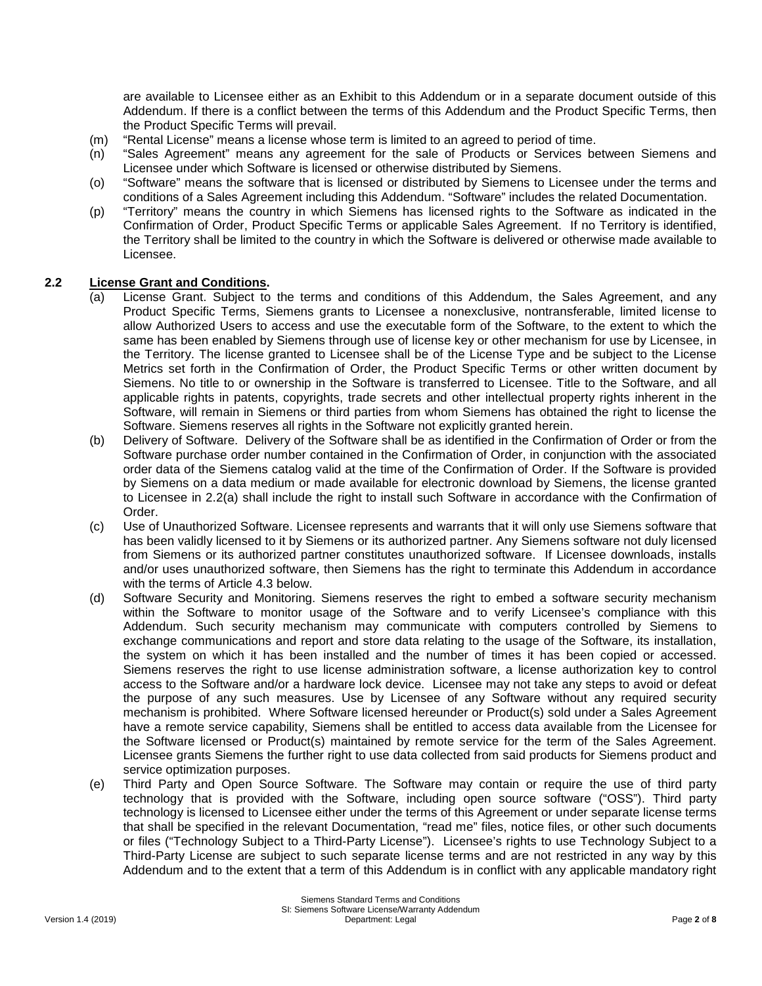are available to Licensee either as an Exhibit to this Addendum or in a separate document outside of this Addendum. If there is a conflict between the terms of this Addendum and the Product Specific Terms, then the Product Specific Terms will prevail.

- (m) "Rental License" means a license whose term is limited to an agreed to period of time.
- (n) "Sales Agreement" means any agreement for the sale of Products or Services between Siemens and Licensee under which Software is licensed or otherwise distributed by Siemens.
- (o) "Software" means the software that is licensed or distributed by Siemens to Licensee under the terms and conditions of a Sales Agreement including this Addendum. "Software" includes the related Documentation.
- (p) "Territory" means the country in which Siemens has licensed rights to the Software as indicated in the Confirmation of Order, Product Specific Terms or applicable Sales Agreement. If no Territory is identified, the Territory shall be limited to the country in which the Software is delivered or otherwise made available to Licensee.

#### **2.2 License Grant and Conditions.**

- (a) License Grant. Subject to the terms and conditions of this Addendum, the Sales Agreement, and any Product Specific Terms, Siemens grants to Licensee a nonexclusive, nontransferable, limited license to allow Authorized Users to access and use the executable form of the Software, to the extent to which the same has been enabled by Siemens through use of license key or other mechanism for use by Licensee, in the Territory. The license granted to Licensee shall be of the License Type and be subject to the License Metrics set forth in the Confirmation of Order, the Product Specific Terms or other written document by Siemens. No title to or ownership in the Software is transferred to Licensee. Title to the Software, and all applicable rights in patents, copyrights, trade secrets and other intellectual property rights inherent in the Software, will remain in Siemens or third parties from whom Siemens has obtained the right to license the Software. Siemens reserves all rights in the Software not explicitly granted herein.
- (b) Delivery of Software. Delivery of the Software shall be as identified in the Confirmation of Order or from the Software purchase order number contained in the Confirmation of Order, in conjunction with the associated order data of the Siemens catalog valid at the time of the Confirmation of Order. If the Software is provided by Siemens on a data medium or made available for electronic download by Siemens, the license granted to Licensee in 2.2(a) shall include the right to install such Software in accordance with the Confirmation of Order.
- (c) Use of Unauthorized Software. Licensee represents and warrants that it will only use Siemens software that has been validly licensed to it by Siemens or its authorized partner. Any Siemens software not duly licensed from Siemens or its authorized partner constitutes unauthorized software. If Licensee downloads, installs and/or uses unauthorized software, then Siemens has the right to terminate this Addendum in accordance with the terms of Article 4.3 below.
- (d) Software Security and Monitoring. Siemens reserves the right to embed a software security mechanism within the Software to monitor usage of the Software and to verify Licensee's compliance with this Addendum. Such security mechanism may communicate with computers controlled by Siemens to exchange communications and report and store data relating to the usage of the Software, its installation, the system on which it has been installed and the number of times it has been copied or accessed. Siemens reserves the right to use license administration software, a license authorization key to control access to the Software and/or a hardware lock device. Licensee may not take any steps to avoid or defeat the purpose of any such measures. Use by Licensee of any Software without any required security mechanism is prohibited. Where Software licensed hereunder or Product(s) sold under a Sales Agreement have a remote service capability, Siemens shall be entitled to access data available from the Licensee for the Software licensed or Product(s) maintained by remote service for the term of the Sales Agreement. Licensee grants Siemens the further right to use data collected from said products for Siemens product and service optimization purposes.
- (e) Third Party and Open Source Software. The Software may contain or require the use of third party technology that is provided with the Software, including open source software ("OSS"). Third party technology is licensed to Licensee either under the terms of this Agreement or under separate license terms that shall be specified in the relevant Documentation, "read me" files, notice files, or other such documents or files ("Technology Subject to a Third-Party License"). Licensee's rights to use Technology Subject to a Third-Party License are subject to such separate license terms and are not restricted in any way by this Addendum and to the extent that a term of this Addendum is in conflict with any applicable mandatory right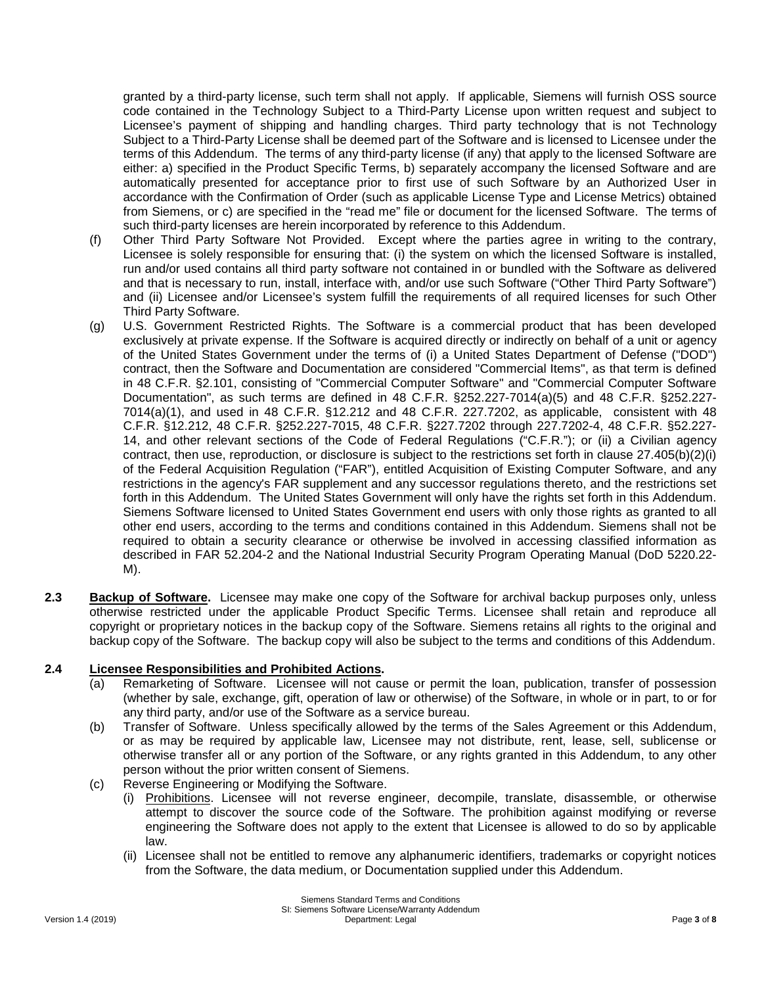granted by a third-party license, such term shall not apply. If applicable, Siemens will furnish OSS source code contained in the Technology Subject to a Third-Party License upon written request and subject to Licensee's payment of shipping and handling charges. Third party technology that is not Technology Subject to a Third-Party License shall be deemed part of the Software and is licensed to Licensee under the terms of this Addendum. The terms of any third-party license (if any) that apply to the licensed Software are either: a) specified in the Product Specific Terms, b) separately accompany the licensed Software and are automatically presented for acceptance prior to first use of such Software by an Authorized User in accordance with the Confirmation of Order (such as applicable License Type and License Metrics) obtained from Siemens, or c) are specified in the "read me" file or document for the licensed Software. The terms of such third-party licenses are herein incorporated by reference to this Addendum.

- (f) Other Third Party Software Not Provided. Except where the parties agree in writing to the contrary, Licensee is solely responsible for ensuring that: (i) the system on which the licensed Software is installed, run and/or used contains all third party software not contained in or bundled with the Software as delivered and that is necessary to run, install, interface with, and/or use such Software ("Other Third Party Software") and (ii) Licensee and/or Licensee's system fulfill the requirements of all required licenses for such Other Third Party Software.
- (g) U.S. Government Restricted Rights. The Software is a commercial product that has been developed exclusively at private expense. If the Software is acquired directly or indirectly on behalf of a unit or agency of the United States Government under the terms of (i) a United States Department of Defense ("DOD") contract, then the Software and Documentation are considered "Commercial Items", as that term is defined in 48 C.F.R. §2.101, consisting of "Commercial Computer Software" and "Commercial Computer Software Documentation", as such terms are defined in 48 C.F.R. §252.227-7014(a)(5) and 48 C.F.R. §252.227- 7014(a)(1), and used in 48 C.F.R. §12.212 and 48 C.F.R. 227.7202, as applicable, consistent with 48 C.F.R. §12.212, 48 C.F.R. §252.227-7015, 48 C.F.R. §227.7202 through 227.7202-4, 48 C.F.R. §52.227- 14, and other relevant sections of the Code of Federal Regulations ("C.F.R."); or (ii) a Civilian agency contract, then use, reproduction, or disclosure is subject to the restrictions set forth in clause  $27.405(b)(2)(i)$ of the Federal Acquisition Regulation ("FAR"), entitled Acquisition of Existing Computer Software, and any restrictions in the agency's FAR supplement and any successor regulations thereto, and the restrictions set forth in this Addendum. The United States Government will only have the rights set forth in this Addendum. Siemens Software licensed to United States Government end users with only those rights as granted to all other end users, according to the terms and conditions contained in this Addendum. Siemens shall not be required to obtain a security clearance or otherwise be involved in accessing classified information as described in FAR 52.204-2 and the National Industrial Security Program Operating Manual (DoD 5220.22- M).
- **2.3 Backup of Software.** Licensee may make one copy of the Software for archival backup purposes only, unless otherwise restricted under the applicable Product Specific Terms. Licensee shall retain and reproduce all copyright or proprietary notices in the backup copy of the Software. Siemens retains all rights to the original and backup copy of the Software. The backup copy will also be subject to the terms and conditions of this Addendum.

## **2.4 Licensee Responsibilities and Prohibited Actions.**

- (a) Remarketing of Software. Licensee will not cause or permit the loan, publication, transfer of possession (whether by sale, exchange, gift, operation of law or otherwise) of the Software, in whole or in part, to or for any third party, and/or use of the Software as a service bureau.
- (b) Transfer of Software. Unless specifically allowed by the terms of the Sales Agreement or this Addendum, or as may be required by applicable law, Licensee may not distribute, rent, lease, sell, sublicense or otherwise transfer all or any portion of the Software, or any rights granted in this Addendum, to any other person without the prior written consent of Siemens.
- (c) Reverse Engineering or Modifying the Software.
	- (i) Prohibitions. Licensee will not reverse engineer, decompile, translate, disassemble, or otherwise attempt to discover the source code of the Software. The prohibition against modifying or reverse engineering the Software does not apply to the extent that Licensee is allowed to do so by applicable law.
	- (ii) Licensee shall not be entitled to remove any alphanumeric identifiers, trademarks or copyright notices from the Software, the data medium, or Documentation supplied under this Addendum.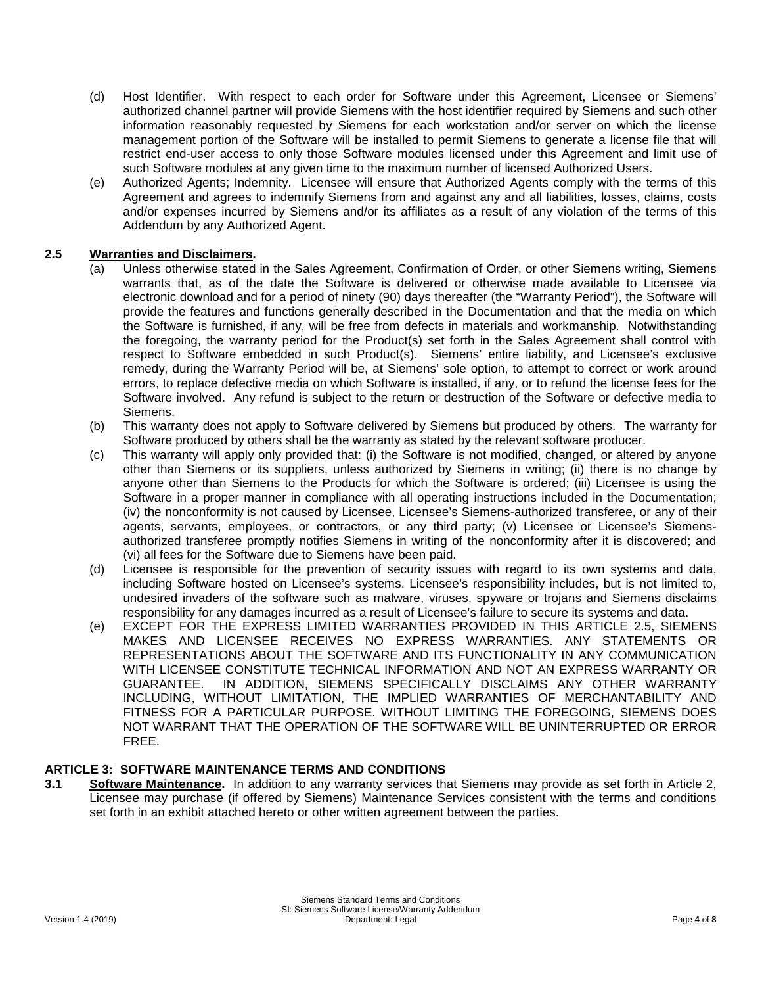- (d) Host Identifier. With respect to each order for Software under this Agreement, Licensee or Siemens' authorized channel partner will provide Siemens with the host identifier required by Siemens and such other information reasonably requested by Siemens for each workstation and/or server on which the license management portion of the Software will be installed to permit Siemens to generate a license file that will restrict end-user access to only those Software modules licensed under this Agreement and limit use of such Software modules at any given time to the maximum number of licensed Authorized Users.
- (e) Authorized Agents; Indemnity. Licensee will ensure that Authorized Agents comply with the terms of this Agreement and agrees to indemnify Siemens from and against any and all liabilities, losses, claims, costs and/or expenses incurred by Siemens and/or its affiliates as a result of any violation of the terms of this Addendum by any Authorized Agent.

## **2.5 Warranties and Disclaimers.**

- (a) Unless otherwise stated in the Sales Agreement, Confirmation of Order, or other Siemens writing, Siemens warrants that, as of the date the Software is delivered or otherwise made available to Licensee via electronic download and for a period of ninety (90) days thereafter (the "Warranty Period"), the Software will provide the features and functions generally described in the Documentation and that the media on which the Software is furnished, if any, will be free from defects in materials and workmanship. Notwithstanding the foregoing, the warranty period for the Product(s) set forth in the Sales Agreement shall control with respect to Software embedded in such Product(s). Siemens' entire liability, and Licensee's exclusive remedy, during the Warranty Period will be, at Siemens' sole option, to attempt to correct or work around errors, to replace defective media on which Software is installed, if any, or to refund the license fees for the Software involved. Any refund is subject to the return or destruction of the Software or defective media to Siemens.
- (b) This warranty does not apply to Software delivered by Siemens but produced by others. The warranty for Software produced by others shall be the warranty as stated by the relevant software producer.
- (c) This warranty will apply only provided that: (i) the Software is not modified, changed, or altered by anyone other than Siemens or its suppliers, unless authorized by Siemens in writing; (ii) there is no change by anyone other than Siemens to the Products for which the Software is ordered; (iii) Licensee is using the Software in a proper manner in compliance with all operating instructions included in the Documentation; (iv) the nonconformity is not caused by Licensee, Licensee's Siemens-authorized transferee, or any of their agents, servants, employees, or contractors, or any third party; (v) Licensee or Licensee's Siemensauthorized transferee promptly notifies Siemens in writing of the nonconformity after it is discovered; and (vi) all fees for the Software due to Siemens have been paid.
- (d) Licensee is responsible for the prevention of security issues with regard to its own systems and data, including Software hosted on Licensee's systems. Licensee's responsibility includes, but is not limited to, undesired invaders of the software such as malware, viruses, spyware or trojans and Siemens disclaims responsibility for any damages incurred as a result of Licensee's failure to secure its systems and data.
- (e) EXCEPT FOR THE EXPRESS LIMITED WARRANTIES PROVIDED IN THIS ARTICLE 2.5, SIEMENS MAKES AND LICENSEE RECEIVES NO EXPRESS WARRANTIES. ANY STATEMENTS OR REPRESENTATIONS ABOUT THE SOFTWARE AND ITS FUNCTIONALITY IN ANY COMMUNICATION WITH LICENSEE CONSTITUTE TECHNICAL INFORMATION AND NOT AN EXPRESS WARRANTY OR GUARANTEE. IN ADDITION, SIEMENS SPECIFICALLY DISCLAIMS ANY OTHER WARRANTY INCLUDING, WITHOUT LIMITATION, THE IMPLIED WARRANTIES OF MERCHANTABILITY AND FITNESS FOR A PARTICULAR PURPOSE. WITHOUT LIMITING THE FOREGOING, SIEMENS DOES NOT WARRANT THAT THE OPERATION OF THE SOFTWARE WILL BE UNINTERRUPTED OR ERROR FREE.

#### **ARTICLE 3: SOFTWARE MAINTENANCE TERMS AND CONDITIONS**

**3.1 Software Maintenance.** In addition to any warranty services that Siemens may provide as set forth in Article 2, Licensee may purchase (if offered by Siemens) Maintenance Services consistent with the terms and conditions set forth in an exhibit attached hereto or other written agreement between the parties.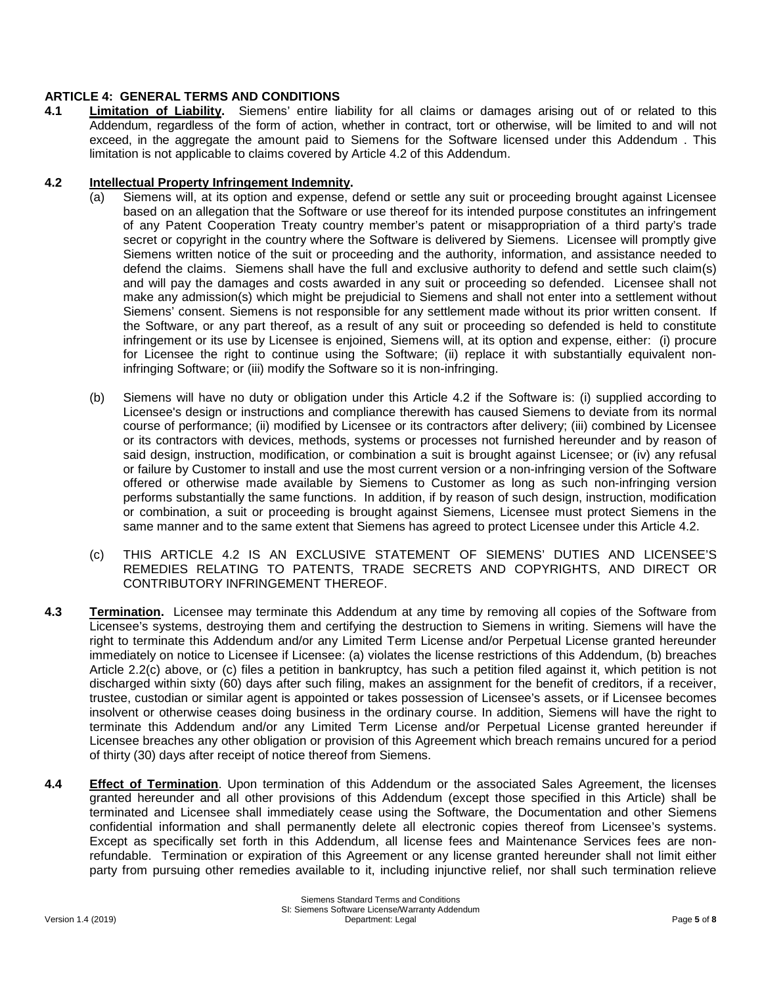### **ARTICLE 4: GENERAL TERMS AND CONDITIONS**

**4.1 Limitation of Liability.** Siemens' entire liability for all claims or damages arising out of or related to this Addendum, regardless of the form of action, whether in contract, tort or otherwise, will be limited to and will not exceed, in the aggregate the amount paid to Siemens for the Software licensed under this Addendum . This limitation is not applicable to claims covered by Article 4.2 of this Addendum.

#### **4.2 Intellectual Property Infringement Indemnity.**

- (a) Siemens will, at its option and expense, defend or settle any suit or proceeding brought against Licensee based on an allegation that the Software or use thereof for its intended purpose constitutes an infringement of any Patent Cooperation Treaty country member's patent or misappropriation of a third party's trade secret or copyright in the country where the Software is delivered by Siemens. Licensee will promptly give Siemens written notice of the suit or proceeding and the authority, information, and assistance needed to defend the claims. Siemens shall have the full and exclusive authority to defend and settle such claim(s) and will pay the damages and costs awarded in any suit or proceeding so defended. Licensee shall not make any admission(s) which might be prejudicial to Siemens and shall not enter into a settlement without Siemens' consent. Siemens is not responsible for any settlement made without its prior written consent. If the Software, or any part thereof, as a result of any suit or proceeding so defended is held to constitute infringement or its use by Licensee is enjoined, Siemens will, at its option and expense, either: (i) procure for Licensee the right to continue using the Software; (ii) replace it with substantially equivalent noninfringing Software; or (iii) modify the Software so it is non-infringing.
- (b) Siemens will have no duty or obligation under this Article 4.2 if the Software is: (i) supplied according to Licensee's design or instructions and compliance therewith has caused Siemens to deviate from its normal course of performance; (ii) modified by Licensee or its contractors after delivery; (iii) combined by Licensee or its contractors with devices, methods, systems or processes not furnished hereunder and by reason of said design, instruction, modification, or combination a suit is brought against Licensee; or (iv) any refusal or failure by Customer to install and use the most current version or a non-infringing version of the Software offered or otherwise made available by Siemens to Customer as long as such non-infringing version performs substantially the same functions. In addition, if by reason of such design, instruction, modification or combination, a suit or proceeding is brought against Siemens, Licensee must protect Siemens in the same manner and to the same extent that Siemens has agreed to protect Licensee under this Article 4.2.
- (c) THIS ARTICLE 4.2 IS AN EXCLUSIVE STATEMENT OF SIEMENS' DUTIES AND LICENSEE'S REMEDIES RELATING TO PATENTS, TRADE SECRETS AND COPYRIGHTS, AND DIRECT OR CONTRIBUTORY INFRINGEMENT THEREOF.
- **4.3 Termination.** Licensee may terminate this Addendum at any time by removing all copies of the Software from Licensee's systems, destroying them and certifying the destruction to Siemens in writing. Siemens will have the right to terminate this Addendum and/or any Limited Term License and/or Perpetual License granted hereunder immediately on notice to Licensee if Licensee: (a) violates the license restrictions of this Addendum, (b) breaches Article 2.2(c) above, or (c) files a petition in bankruptcy, has such a petition filed against it, which petition is not discharged within sixty (60) days after such filing, makes an assignment for the benefit of creditors, if a receiver, trustee, custodian or similar agent is appointed or takes possession of Licensee's assets, or if Licensee becomes insolvent or otherwise ceases doing business in the ordinary course. In addition, Siemens will have the right to terminate this Addendum and/or any Limited Term License and/or Perpetual License granted hereunder if Licensee breaches any other obligation or provision of this Agreement which breach remains uncured for a period of thirty (30) days after receipt of notice thereof from Siemens.
- **4.4 Effect of Termination**. Upon termination of this Addendum or the associated Sales Agreement, the licenses granted hereunder and all other provisions of this Addendum (except those specified in this Article) shall be terminated and Licensee shall immediately cease using the Software, the Documentation and other Siemens confidential information and shall permanently delete all electronic copies thereof from Licensee's systems. Except as specifically set forth in this Addendum, all license fees and Maintenance Services fees are nonrefundable. Termination or expiration of this Agreement or any license granted hereunder shall not limit either party from pursuing other remedies available to it, including injunctive relief, nor shall such termination relieve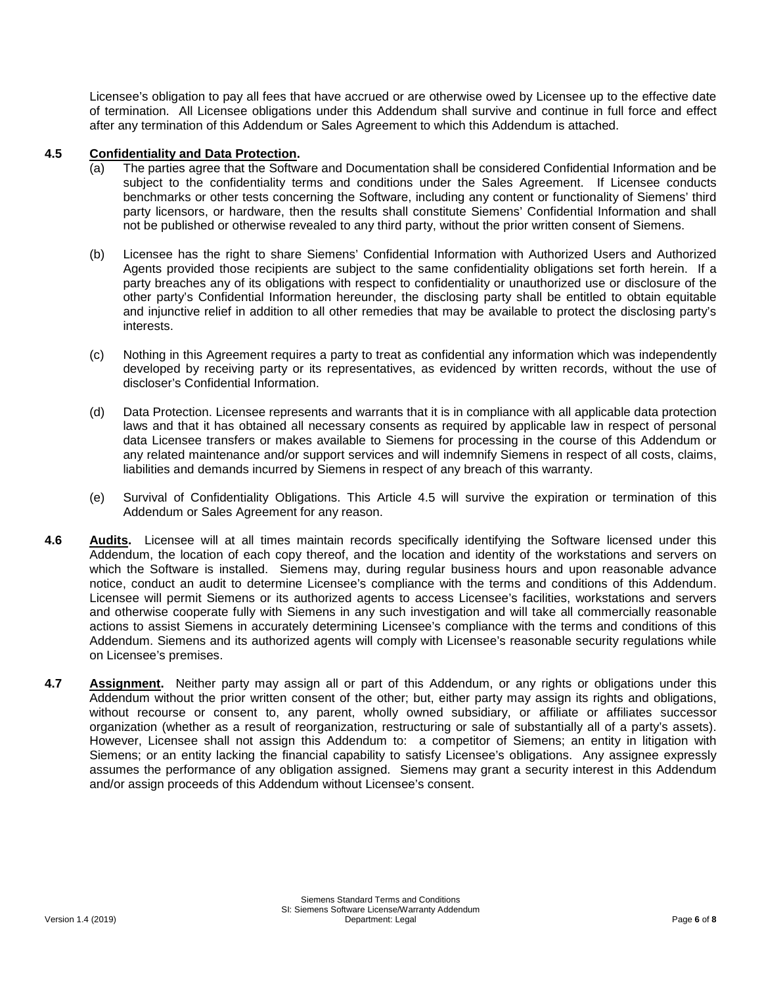Licensee's obligation to pay all fees that have accrued or are otherwise owed by Licensee up to the effective date of termination. All Licensee obligations under this Addendum shall survive and continue in full force and effect after any termination of this Addendum or Sales Agreement to which this Addendum is attached.

# **4.5 Confidentiality and Data Protection.**

- (a) The parties agree that the Software and Documentation shall be considered Confidential Information and be subject to the confidentiality terms and conditions under the Sales Agreement. If Licensee conducts benchmarks or other tests concerning the Software, including any content or functionality of Siemens' third party licensors, or hardware, then the results shall constitute Siemens' Confidential Information and shall not be published or otherwise revealed to any third party, without the prior written consent of Siemens.
- (b) Licensee has the right to share Siemens' Confidential Information with Authorized Users and Authorized Agents provided those recipients are subject to the same confidentiality obligations set forth herein. If a party breaches any of its obligations with respect to confidentiality or unauthorized use or disclosure of the other party's Confidential Information hereunder, the disclosing party shall be entitled to obtain equitable and injunctive relief in addition to all other remedies that may be available to protect the disclosing party's interests.
- (c) Nothing in this Agreement requires a party to treat as confidential any information which was independently developed by receiving party or its representatives, as evidenced by written records, without the use of discloser's Confidential Information.
- (d) Data Protection. Licensee represents and warrants that it is in compliance with all applicable data protection laws and that it has obtained all necessary consents as required by applicable law in respect of personal data Licensee transfers or makes available to Siemens for processing in the course of this Addendum or any related maintenance and/or support services and will indemnify Siemens in respect of all costs, claims, liabilities and demands incurred by Siemens in respect of any breach of this warranty.
- (e) Survival of Confidentiality Obligations. This Article 4.5 will survive the expiration or termination of this Addendum or Sales Agreement for any reason.
- **4.6 Audits.** Licensee will at all times maintain records specifically identifying the Software licensed under this Addendum, the location of each copy thereof, and the location and identity of the workstations and servers on which the Software is installed. Siemens may, during regular business hours and upon reasonable advance notice, conduct an audit to determine Licensee's compliance with the terms and conditions of this Addendum. Licensee will permit Siemens or its authorized agents to access Licensee's facilities, workstations and servers and otherwise cooperate fully with Siemens in any such investigation and will take all commercially reasonable actions to assist Siemens in accurately determining Licensee's compliance with the terms and conditions of this Addendum. Siemens and its authorized agents will comply with Licensee's reasonable security regulations while on Licensee's premises.
- **4.7 Assignment.** Neither party may assign all or part of this Addendum, or any rights or obligations under this Addendum without the prior written consent of the other; but, either party may assign its rights and obligations, without recourse or consent to, any parent, wholly owned subsidiary, or affiliate or affiliates successor organization (whether as a result of reorganization, restructuring or sale of substantially all of a party's assets). However, Licensee shall not assign this Addendum to: a competitor of Siemens; an entity in litigation with Siemens; or an entity lacking the financial capability to satisfy Licensee's obligations. Any assignee expressly assumes the performance of any obligation assigned. Siemens may grant a security interest in this Addendum and/or assign proceeds of this Addendum without Licensee's consent.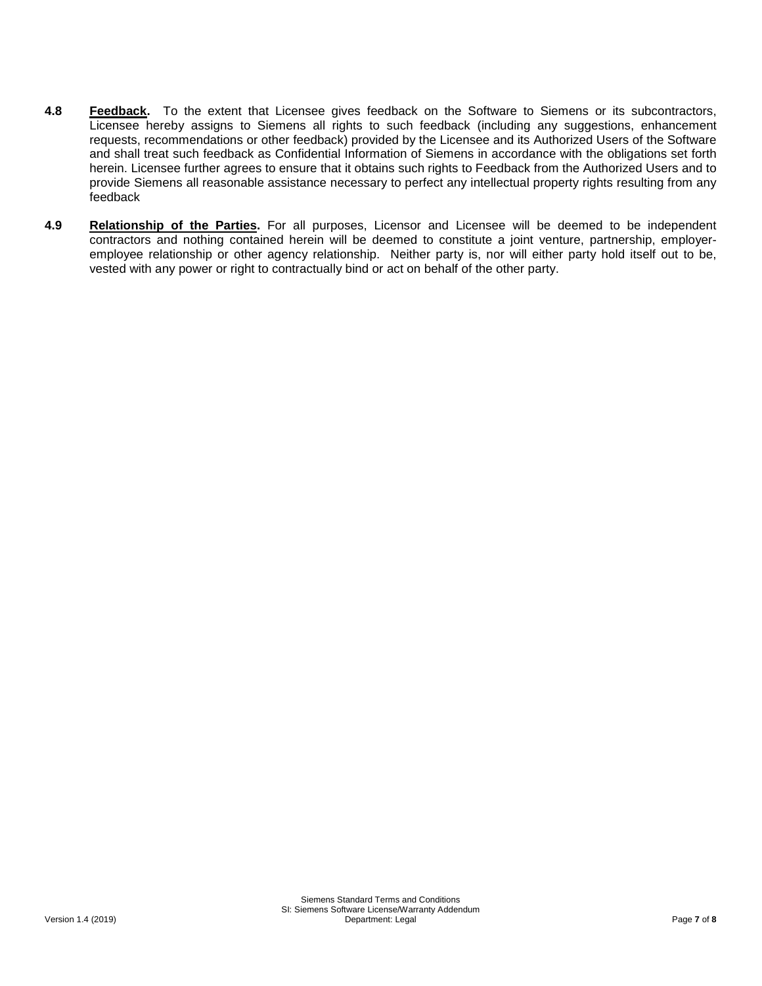- **4.8 Feedback.** To the extent that Licensee gives feedback on the Software to Siemens or its subcontractors, Licensee hereby assigns to Siemens all rights to such feedback (including any suggestions, enhancement requests, recommendations or other feedback) provided by the Licensee and its Authorized Users of the Software and shall treat such feedback as Confidential Information of Siemens in accordance with the obligations set forth herein. Licensee further agrees to ensure that it obtains such rights to Feedback from the Authorized Users and to provide Siemens all reasonable assistance necessary to perfect any intellectual property rights resulting from any feedback
- **4.9 Relationship of the Parties.** For all purposes, Licensor and Licensee will be deemed to be independent contractors and nothing contained herein will be deemed to constitute a joint venture, partnership, employeremployee relationship or other agency relationship. Neither party is, nor will either party hold itself out to be, vested with any power or right to contractually bind or act on behalf of the other party.